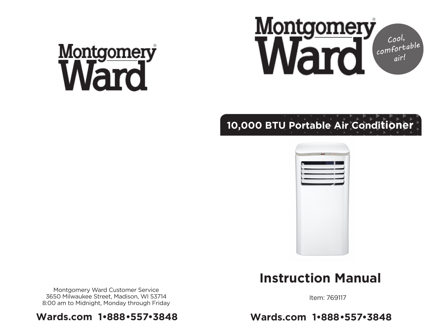# Montgomery



## **10,000 BTU Portable Air Conditioner**



## **Instruction Manual**

Montgomery Ward Customer Service 3650 Milwaukee Street, Madison, WI 53714 8:00 am to Midnight, Monday through Friday

#### **Wards.com 1•888•557•3848**

Item: 769117

**Wards.com 1•888•557•3848**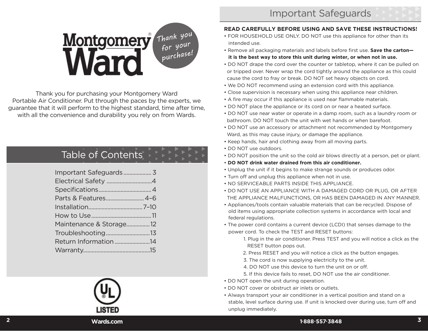**READ CAREFULLY BEFORE USING AND SAVE THESE INSTRUCTIONS!** • FOR HOUSEHOLD USE ONLY. DO NOT use this appliance for other than its

• Remove all packaging materials and labels before first use. **Save the carton it is the best way to store this unit during winter, or when not in use.**

 cause the cord to fray or break. DO NOT set heavy objects on cord. • We DO NOT recommend using an extension cord with this appliance. • Close supervision is necessary when using this appliance near children. • A fire may occur if this appliance is used near flammable materials. • DO NOT place the appliance or its cord on or near a heated surface.

bathroom. DO NOT touch the unit with wet hands or when barefoot.

• Unplug the unit if it begins to make strange sounds or produces odor.

 Ward, as this may cause injury, or damage the appliance. • Keep hands, hair and clothing away from all moving parts.

• **DO NOT drink water drained from this air conditioner.**

• Turn off and unplug this appliance when not in use. • NO SERVICEABLE PARTS INSIDE THIS APPLIANCE.

• DO NOT drape the cord over the counter or tabletop, where it can be pulled on or tripped over. Never wrap the cord tightly around the appliance as this could

• DO NOT use near water or operate in a damp room, such as a laundry room or

• DO NOT use an accessory or attachment not recommended by Montgomery

• DO NOT position the unit so the cold air blows directly at a person, pet or plant.

## *Thank you for your purchase!* ®

Thank you for purchasing your Montgomery Ward Portable Air Conditioner. Put through the paces by the experts, we guarantee that it will perform to the highest standard, time after time, with all the convenience and durability you rely on from Wards.

## Table of Contents

| Maintenance & Storage12 |  |
|-------------------------|--|
| Troubleshooting13       |  |
| Return Information14    |  |



#### THE APPLIANCE MALFUNCTIONS, OR HAS BEEN DAMAGED IN ANY MANNER.

• Appliances/tools contain valuable materials that can be recycled. Dispose of old items using appropriate collection systems in accordance with local and federal regulations.

• DO NOT USE AN APPLIANCE WITH A DAMAGED CORD OR PLUG, OR AFTER

- The power cord contains a current device (LCDI) that senses damage to the power cord. To check the TEST and RESET buttons:
	- 1. Plug in the air conditioner. Press TEST and you will notice a click as the RESET button pops out.
	- 2. Press RESET and you will notice a click as the button engages.
	- 3. The cord is now supplying electricity to the unit.
	- 4. DO NOT use this device to turn the unit on or off.
	- 5. If this device fails to reset, DO NOT use the air conditioner.
- DO NOT open the unit during operation.

intended use.

• DO NOT use outdoors.

- DO NOT cover or obstruct air inlets or outlets.
- Always transport your air conditioner in a vertical position and stand on a stable, level surface during use. If unit is knocked over during use, turn off and unplug immediately.
- **2 Wards.com 1•888•557•3848**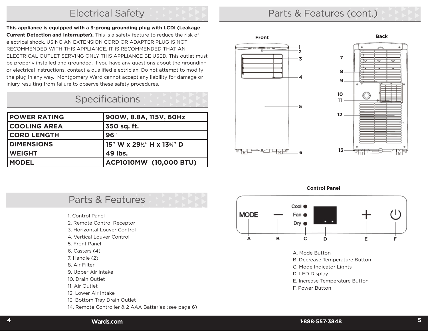#### Electrical Safety

**This appliance is equipped with a 3-prong grounding plug with LCDI (Leakage Current Detection and Interrupter).** This is a safety feature to reduce the risk of electrical shock. USING AN EXTENSION CORD OR ADAPTER PLUG IS NOT RECOMMENDED WITH THIS APPLIANCE. IT IS RECOMMENDED THAT AN ELECTRICAL OUTLET SERVING ONLY THIS APPLIANCE BE USED. This outlet must be properly installed and grounded. If you have any questions about the grounding or electrical instructions, contact a qualified electrician. Do not attempt to modify the plug in any way. Montgomery Ward cannot accept any liability for damage or injury resulting from failure to observe these safety procedures.

## **Specifications**

| <b>POWER RATING</b> | 900W, 8.8A, 115V, 60Hz  |
|---------------------|-------------------------|
| <b>COOLING AREA</b> | 350 sq. ft.             |
| <b>CORD LENGTH</b>  | 96"                     |
| <b>DIMENSIONS</b>   | 15" W x 29%" H x 13%" D |
| <b>WEIGHT</b>       | 49 lbs.                 |
| <b>MODEL</b>        | ACP1010MW (10,000 BTU)  |

## Parts & Features (cont.)





**Control Panel**



A. Mode Button

B. Decrease Temperature Button

C. Mode Indicator Lights

D. LED Display

E. Increase Temperature Button

F. Power Button

## Parts & Features

- 1. Control Panel
- 2. Remote Control Receptor
- 3. Horizontal Louver Control
- 4. Vertical Louver Control
- 5. Front Panel
- 6. Casters (4)
- 7. Handle (2)
- 8. Air Filter
- 9. Upper Air Intake
- 10. Drain Outlet
- 11. Air Outlet
- 12. Lower Air Intake
- 13. Bottom Tray Drain Outlet
- 14. Remote Controller & 2 AAA Batteries (see page 6)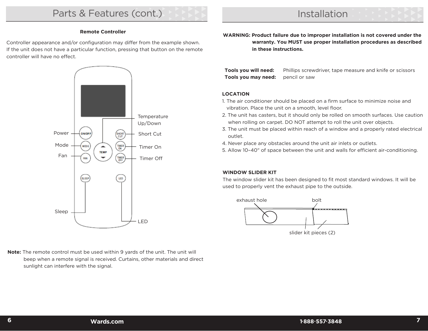#### **Remote Controller**

Controller appearance and/or configuration may differ from the example shown. If the unit does not have a particular function, pressing that button on the remote controller will have no effect.



**Note:** The remote control must be used within 9 yards of the unit. The unit will beep when a remote signal is received. Curtains, other materials and direct sunlight can interfere with the signal.

**WARNING: Product failure due to improper installation is not covered under the warranty. You MUST use proper installation procedures as described in these instructions.**

| Tools you will need:                     | Phillips screwdriver, tape measure and knife or scissors |
|------------------------------------------|----------------------------------------------------------|
| <b>Tools you may need:</b> pencil or saw |                                                          |

#### **LOCATION**

- 1. The air conditioner should be placed on a firm surface to minimize noise and vibration. Place the unit on a smooth, level floor.
- 2. The unit has casters, but it should only be rolled on smooth surfaces. Use caution when rolling on carpet. DO NOT attempt to roll the unit over objects.
- 3. The unit must be placed within reach of a window and a properly rated electrical outlet.
- 4. Never place any obstacles around the unit air inlets or outlets.
- 5. Allow 10–40" of space between the unit and walls for efficient air-conditioning.

#### **WINDOW SLIDER KIT**

The window slider kit has been designed to fit most standard windows. It will be used to properly vent the exhaust pipe to the outside.

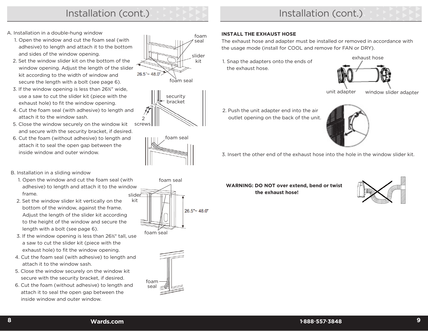## Installation (cont.) **Installation (cont.)** Installation (cont.)

- A. Installation in a double-hung window
	- 1. Open the window and cut the foam seal (with adhesive) to length and attach it to the bottom and sides of the window opening.
	- 2. Set the window slider kit on the bottom of the window opening. Adjust the length of the slider kit according to the width of window and secure the length with a bolt (see page 6).
	- 3. If the window opening is less than 26½" wide, use a saw to cut the slider kit (piece with the exhaust hole) to fit the window opening.
	- 4. Cut the foam seal (with adhesive) to length and attach it to the window sash.
	- 5. Close the window securely on the window kit and secure with the security bracket, if desired.
	- 6. Cut the foam (without adhesive) to length and attach it to seal the open gap between the inside window and outer window.
- B. Installation in a sliding window
	- slider 1. Open the window and cut the foam seal (with adhesive) to length and attach it to the window frame.
	- 2. Set the window slider kit vertically on the bottom of the window, against the frame. Adjust the length of the slider kit according to the height of the window and secure the length with a bolt (see page 6).
	- 3. If the window opening is less than 26½" tall, use a saw to cut the slider kit (piece with the exhaust hole) to fit the window opening.
	- 4. Cut the foam seal (with adhesive) to length and attach it to the window sash.
	- 5. Close the window securely on the window kit secure with the security bracket, if desired.
	- 6. Cut the foam (without adhesive) to length and attach it to seal the open gap between the inside window and outer window.











#### **INSTALL THE EXHAUST HOSE**

The exhaust hose and adapter must be installed or removed in accordance with the usage mode (install for COOL and remove for FAN or DRY).

1. Snap the adapters onto the ends of the exhaust hose.



unit adapter window slider adapter

2. Push the unit adapter end into the air outlet opening on the back of the unit.



3. Insert the other end of the exhaust hose into the hole in the window slider kit.

**WARNING: DO NOT over extend, bend or twist the exhaust hose!**

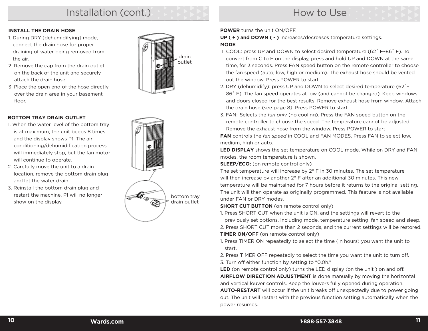## Installation (cont.)

## How to Use

#### **INSTALL THE DRAIN HOSE**

- 1. During DRY (dehumidifying) mode, connect the drain hose for proper draining of water being removed from the air.
- 2. Remove the cap from the drain outlet on the back of the unit and securely attach the drain hose.
- 3. Place the open end of the hose directly over the drain area in your basement floor.



#### **BOTTOM TRAY DRAIN OUTLET**

- 1. When the water level of the bottom tray is at maximum, the unit beeps 8 times and the display shows P1. The air conditioning/dehumidification process will immediately stop, but the fan motor will continue to operate.
- 2. Carefully move the unit to a drain location, remove the bottom drain plug and let the water drain.
- 3. Reinstall the bottom drain plug and restart the machine. P1 will no longer show on the display.



#### **POWER** turns the unit ON/OFF.

**UP ( + ) and DOWN ( - )** increases/decreases temperature settings. **MODE** 

- 1. COOL: press UP and DOWN to select desired temperature (62˚ F–86˚ F). To convert from C to F on the display, press and hold UP and DOWN at the same time, for 3 seconds. Press FAN speed button on the remote controller to choose the fan speed (auto, low, high or medium). The exhaust hose should be vented out the window. Press POWER to start.
- 2. DRY (dehumidify): press UP and DOWN to select desired temperature (62˚– 86˚ F). The fan speed operates at low (and cannot be changed). Keep windows and doors closed for the best results. Remove exhaust hose from window. Attach the drain hose (see page 8). Press POWER to start.
- 3. FAN: Selects the *fan only* (no cooling). Press the FAN speed button on the remote controller to choose the speed. The temperature cannot be adjusted. Remove the exhaust hose from the window. Press POWER to start.

**FAN** controls the *fan speed* in COOL and FAN MODES. Press FAN to select low, medium, high or auto.

**LED DISPLAY** shows the set temperature on COOL mode. While on DRY and FAN modes, the room temperature is shown.

**SLEEP/ECO:** (on remote control only)

The set temperature will increase by 2° F in 30 minutes. The set temperature will then increase by another 2° F after an additional 30 minutes. This new temperature will be maintained for 7 hours before it returns to the original setting. The unit will then operate as originally programmed. This feature is not available under FAN or DRY modes.

**SHORT CUT BUTTON** (on remote control only)

1. Press SHORT CUT when the unit is ON, and the settings will revert to the previously set options, including mode, temperature setting, fan speed and sleep. 2. Press SHORT CUT more than 2 seconds, and the current settings will be restored. **TIMER ON/OFF** (on remote control only)

1. Press TIMER ON repeatedly to select the time (in hours) you want the unit to start.

2. Press TIMER OFF repeatedly to select the time you want the unit to turn off. 3. Turn off either function by setting to "0.0h."

**LED** (on remote control only) turns the LED display (on the unit ) on and off. **AIRFLOW DIRECTION ADJUSTMENT** is done manually by moving the horizontal and vertical louver controls. Keep the louvers fully opened during operation.

**AUTO-RESTART** will occur if the unit breaks off unexpectedly due to power going out. The unit will restart with the previous function setting automatically when the power resumes.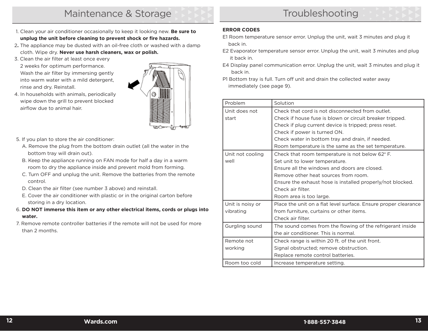- 1. Clean your air conditioner occasionally to keep it looking new. **Be sure to unplug the unit before cleaning to prevent shock or fire hazards.**
- 2**.** The appliance may be dusted with an oil-free cloth or washed with a damp cloth. Wipe dry. **Never use harsh cleaners, wax or polish.**
- 3. Clean the air filter at least once every 2 weeks for optimum performance. Wash the air filter by immersing gently into warm water with a mild detergent, rinse and dry. Reinstall.

4. In households with animals, periodically wipe down the grill to prevent blocked

airflow due to animal hair.



- 5. If you plan to store the air conditioner:
	- A. Remove the plug from the bottom drain outlet (all the water in the bottom tray will drain out).
	- B. Keep the appliance running on FAN mode for half a day in a warm room to dry the appliance inside and prevent mold from forming.
	- C. Turn OFF and unplug the unit. Remove the batteries from the remote control.
	- D. Clean the air filter (see number 3 above) and reinstall.
	- E. Cover the air conditioner with plastic or in the original carton before storing in a dry location.
- 6. **DO NOT immerse this item or any other electrical items, cords or plugs into water.**
- 7. Remove remote controller batteries if the remote will not be used for more than 2 months.

#### **ERROR CODES**

- E1 Room temperature sensor error. Unplug the unit, wait 3 minutes and plug it back in.
- E2 Evaporator temperature sensor error. Unplug the unit, wait 3 minutes and plug it back in.
- E4 Display panel communication error. Unplug the unit, wait 3 minutes and plug it back in.
- P1 Bottom tray is full. Turn off unit and drain the collected water away immediately (see page 9).

| Problem          | Solution                                                        |
|------------------|-----------------------------------------------------------------|
| Unit does not    | Check that cord is not disconnected from outlet.                |
| start            | Check if house fuse is blown or circuit breaker tripped.        |
|                  | Check if plug current device is tripped; press reset.           |
|                  | Check if power is turned ON.                                    |
|                  | Check water in bottom tray and drain, if needed.                |
|                  | Room temperature is the same as the set temperature.            |
| Unit not cooling | Check that room temperature is not below 62° F.                 |
| well             | Set unit to lower temperature.                                  |
|                  | Ensure all the windows and doors are closed.                    |
|                  | Remove other heat sources from room.                            |
|                  | Ensure the exhaust hose is installed properly/not blocked.      |
|                  | Check air filter.                                               |
|                  | Room area is too large.                                         |
| Unit is noisy or | Place the unit on a flat level surface. Ensure proper clearance |
| vibrating        | from furniture, curtains or other items.                        |
|                  | Check air filter.                                               |
| Gurgling sound   | The sound comes from the flowing of the refrigerant inside      |
|                  | the air conditioner. This is normal.                            |
| Remote not       | Check range is within 20 ft. of the unit front.                 |
| working          | Signal obstructed; remove obstruction.                          |
|                  | Replace remote control batteries.                               |
| Room too cold    | Increase temperature setting.                                   |